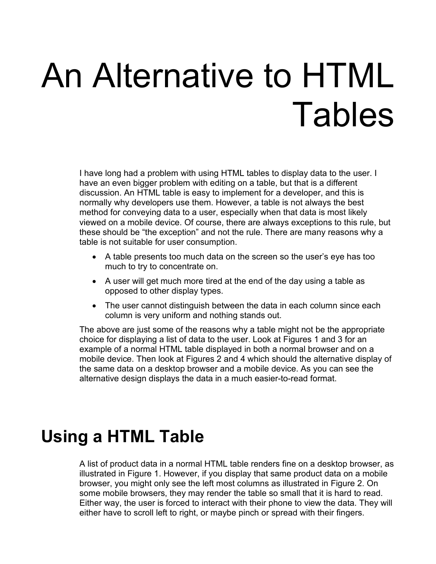# An Alternative to HTML Tables

I have long had a problem with using HTML tables to display data to the user. I have an even bigger problem with editing on a table, but that is a different discussion. An HTML table is easy to implement for a developer, and this is normally why developers use them. However, a table is not always the best method for conveying data to a user, especially when that data is most likely viewed on a mobile device. Of course, there are always exceptions to this rule, but these should be "the exception" and not the rule. There are many reasons why a table is not suitable for user consumption.

- A table presents too much data on the screen so the user's eye has too much to try to concentrate on.
- A user will get much more tired at the end of the day using a table as opposed to other display types.
- The user cannot distinguish between the data in each column since each column is very uniform and nothing stands out.

The above are just some of the reasons why a table might not be the appropriate choice for displaying a list of data to the user. Look at Figures 1 and 3 for an example of a normal HTML table displayed in both a normal browser and on a mobile device. Then look at Figures 2 and 4 which should the alternative display of the same data on a desktop browser and a mobile device. As you can see the alternative design displays the data in a much easier-to-read format.

## **Using a HTML Table**

A list of product data in a normal HTML table renders fine on a desktop browser, as illustrated in Figure 1. However, if you display that same product data on a mobile browser, you might only see the left most columns as illustrated in Figure 2. On some mobile browsers, they may render the table so small that it is hard to read. Either way, the user is forced to interact with their phone to view the data. They will either have to scroll left to right, or maybe pinch or spread with their fingers.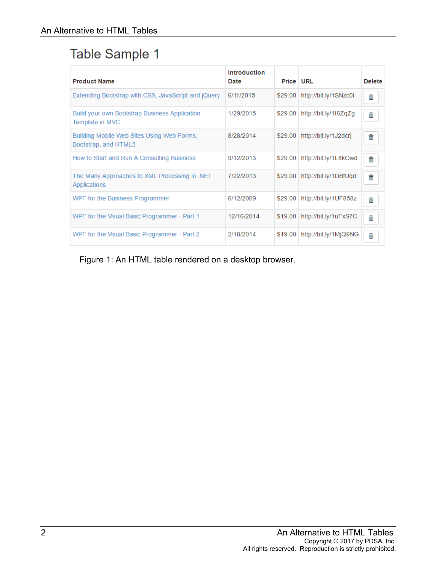#### Table Sample 1

| <b>Product Name</b>                                                     | Introduction<br>Date | Price URL |                               | <b>Delete</b> |
|-------------------------------------------------------------------------|----------------------|-----------|-------------------------------|---------------|
| Extending Bootstrap with CSS, JavaScript and jQuery                     | 6/11/2015            | \$29.00   | http://bit.ly/1SNzc0i         | 侖             |
| <b>Build your own Bootstrap Business Application</b><br>Template in MVC | 1/29/2015            | \$29.00   | http://bit.ly/1l8ZqZg         | 侖             |
| Building Mobile Web Sites Using Web Forms,<br>Bootstrap, and HTML5      | 8/28/2014            |           | \$29.00 http://bit.ly/1J2dcrj | 侖             |
| How to Start and Run A Consulting Business                              | 9/12/2013            |           | \$29.00 http://bit.ly/1L8kOwd | 侖             |
| The Many Approaches to XML Processing in .NET<br>Applications           | 7/22/2013            | \$29.00   | http://bit.ly/1DBfUqd         | 侖             |
| WPF for the Business Programmer                                         | 6/12/2009            |           | \$29.00 http://bit.ly/1UF858z | 侖             |
| WPF for the Visual Basic Programmer - Part 1                            | 12/16/2014           | \$19.00   | http://bit.ly/1uFxS7C         | 侖             |
| WPF for the Visual Basic Programmer - Part 2                            | 2/18/2014            |           | \$19.00 http://bit.ly/1MjQ9NG | 侖             |

Figure 1: An HTML table rendered on a desktop browser.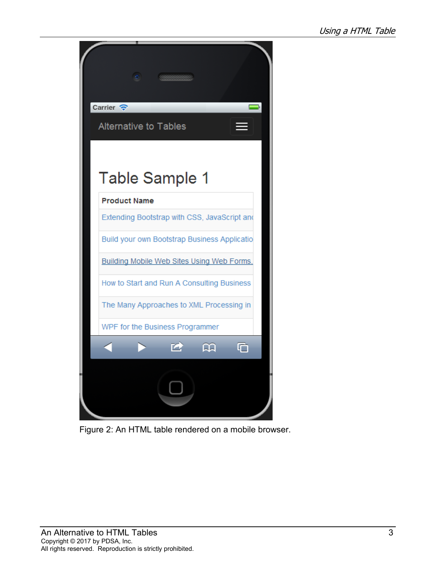

Figure 2: An HTML table rendered on a mobile browser.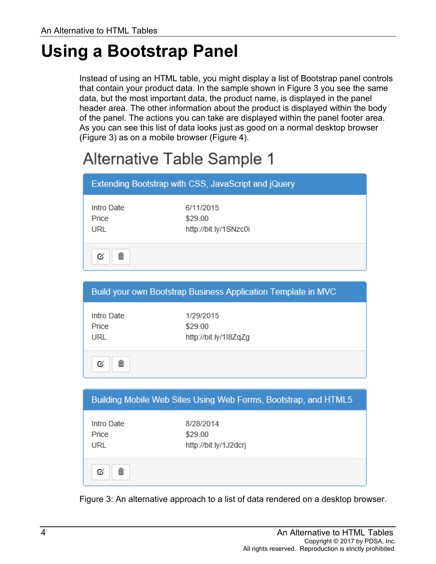## **Using a Bootstrap Panel**

Instead of using an HTML table, you might display a list of Bootstrap panel controls that contain your product data. In the sample shown in Figure 3 you see the same data, but the most important data, the product name, is displayed in the panel header area. The other information about the product is displayed within the body of the panel. The actions you can take are displayed within the panel footer area. As you can see this list of data looks just as good on a normal desktop browser (Figure 3) as on a mobile browser (Figure 4).

## **Alternative Table Sample 1**

|                            | Extending Bootstrap with CSS, JavaScript and jQuery |
|----------------------------|-----------------------------------------------------|
| Intro Date<br>Price<br>URL | 6/11/2015<br>\$29.00<br>http://bit.ly/1SNzc0i       |
| 孟<br>Ø                     |                                                     |

|                            | Build your own Bootstrap Business Application Template in MVC |
|----------------------------|---------------------------------------------------------------|
| Intro Date<br>Price<br>URL | 1/29/2015<br>\$29.00<br>http://bit.ly/1l8ZqZg                 |
| 霝<br>Ø                     |                                                               |

|                            | Building Mobile Web Sites Using Web Forms, Bootstrap, and HTML5 |
|----------------------------|-----------------------------------------------------------------|
| Intro Date<br>Price<br>URL | 8/28/2014<br>\$29.00<br>http://bit.ly/1J2dcrj                   |
| 霝<br>r.                    |                                                                 |

Figure 3: An alternative approach to a list of data rendered on a desktop browser.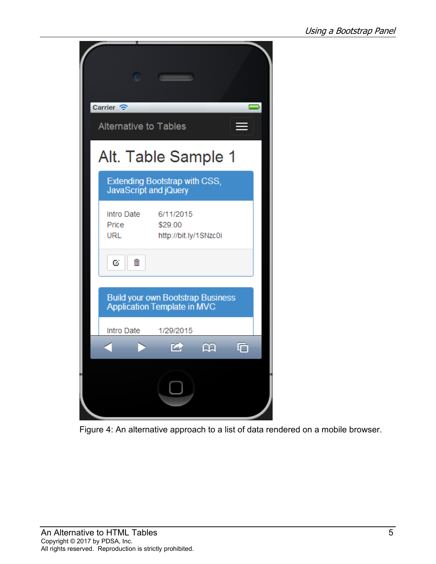| Carrier $\epsilon$<br><b>Alternative to Tables</b>                             |                                               |    |  |
|--------------------------------------------------------------------------------|-----------------------------------------------|----|--|
|                                                                                |                                               |    |  |
| Alt. Table Sample 1                                                            |                                               |    |  |
| <b>Extending Bootstrap with CSS,</b><br>JavaScript and jQuery                  |                                               |    |  |
| Intro Date<br>Price<br><b>URL</b>                                              | 6/11/2015<br>\$29.00<br>http://bit.ly/1SNzc0i |    |  |
| 霝<br>Ø                                                                         |                                               |    |  |
| <b>Build your own Bootstrap Business</b><br><b>Application Template in MVC</b> |                                               |    |  |
| Intro Date                                                                     | 1/29/2015                                     |    |  |
|                                                                                | u pro                                         | മാ |  |
|                                                                                |                                               |    |  |

Figure 4: An alternative approach to a list of data rendered on a mobile browser.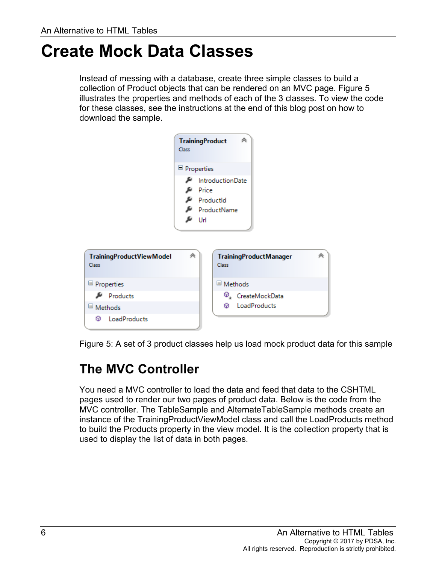## **Create Mock Data Classes**

Instead of messing with a database, create three simple classes to build a collection of Product objects that can be rendered on an MVC page. Figure 5 illustrates the properties and methods of each of the 3 classes. To view the code for these classes, see the instructions at the end of this blog post on how to download the sample.



Figure 5: A set of 3 product classes help us load mock product data for this sample

#### **The MVC Controller**

You need a MVC controller to load the data and feed that data to the CSHTML pages used to render our two pages of product data. Below is the code from the MVC controller. The TableSample and AlternateTableSample methods create an instance of the TrainingProductViewModel class and call the LoadProducts method to build the Products property in the view model. It is the collection property that is used to display the list of data in both pages.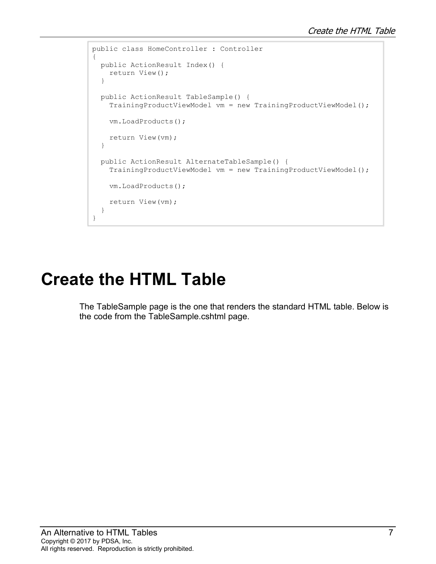```
public class HomeController : Controller
{
   public ActionResult Index() {
     return View();
   }
   public ActionResult TableSample() {
     TrainingProductViewModel vm = new TrainingProductViewModel();
     vm.LoadProducts();
     return View(vm);
   }
   public ActionResult AlternateTableSample() {
     TrainingProductViewModel vm = new TrainingProductViewModel();
     vm.LoadProducts();
     return View(vm);
   }
}
```
# **Create the HTML Table**

The TableSample page is the one that renders the standard HTML table. Below is the code from the TableSample.cshtml page.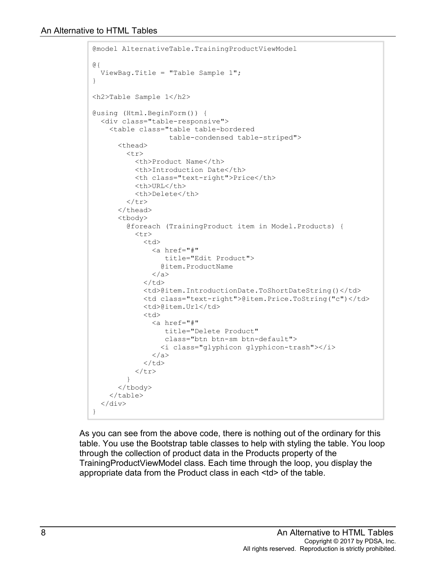```
@model AlternativeTable.TrainingProductViewModel
@{
  ViewBag.Title = "Table Sample 1";
}
<h2>Table Sample 1</h2>
@using (Html.BeginForm()) {
   <div class="table-responsive">
     <table class="table table-bordered
                   table-condensed table-striped">
       <thead>
         <tr>
            <th>Product Name</th>
            <th>Introduction Date</th>
            <th class="text-right">Price</th>
            <th>URL</th>
            <th>Delete</th>
        \langle/tr>
      \langle/thead>
       <tbody>
         @foreach (TrainingProduct item in Model.Products) {
            <tr>
              <td>
                <a href="#"
                   title="Edit Product">
                  @item.ProductName
                </a>
             \langle /td \rangle <td>@item.IntroductionDate.ToShortDateString()</td>
              <td class="text-right">@item.Price.ToString("c")</td>
              <td>@item.Url</td>
              <td>
                <a href="#"
                   title="Delete Product"
                  class="btn btn-sm btn-default">
                  <i class="glyphicon glyphicon-trash"></i>
                </a>
             \langle/td>
        \langle/tr>
 }
       </tbody>
     </table>
   </div>
}
```
As you can see from the above code, there is nothing out of the ordinary for this table. You use the Bootstrap table classes to help with styling the table. You loop through the collection of product data in the Products property of the TrainingProductViewModel class. Each time through the loop, you display the appropriate data from the Product class in each <td> of the table.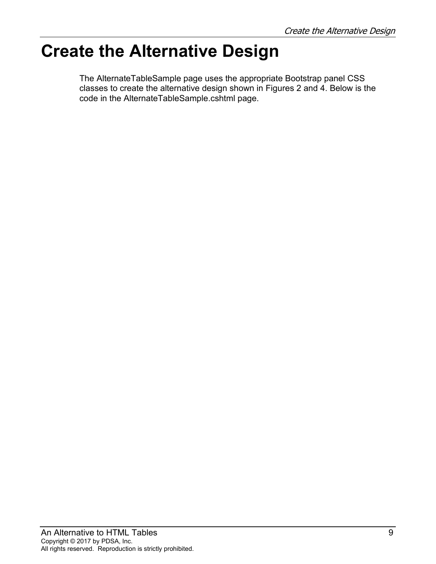## **Create the Alternative Design**

The AlternateTableSample page uses the appropriate Bootstrap panel CSS classes to create the alternative design shown in Figures 2 and 4. Below is the code in the AlternateTableSample.cshtml page.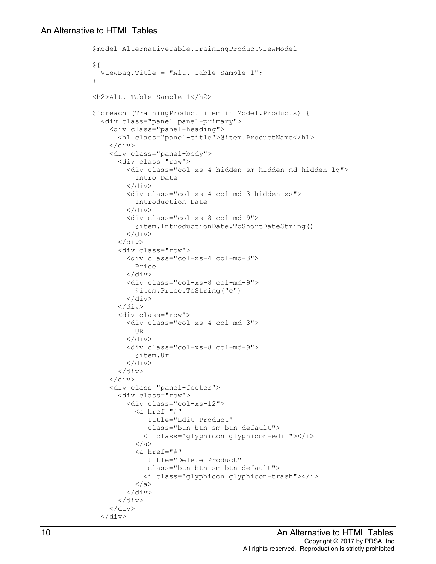```
@model AlternativeTable.TrainingProductViewModel
@{
   ViewBag.Title = "Alt. Table Sample 1";
}
<h2>Alt. Table Sample 1</h2>
@foreach (TrainingProduct item in Model.Products) {
   <div class="panel panel-primary">
     <div class="panel-heading">
        <h1 class="panel-title">@item.ProductName</h1>
     </div>
     <div class="panel-body">
        <div class="row">
          <div class="col-xs-4 hidden-sm hidden-md hidden-lg">
            Intro Date
         \langle div\rangle <div class="col-xs-4 col-md-3 hidden-xs">
            Introduction Date
         \langle/div>
          <div class="col-xs-8 col-md-9">
            @item.IntroductionDate.ToShortDateString()
         \langlediv>\langle div>
        <div class="row">
          <div class="col-xs-4 col-md-3">
            Price
         \langle/div\rangle <div class="col-xs-8 col-md-9">
            @item.Price.ToString("c")
         \langle div>
       \langle/div\rangle <div class="row">
          <div class="col-xs-4 col-md-3">
            URL
         \langle/div>
          <div class="col-xs-8 col-md-9">
            @item.Url
          </div>
       \langle/div>
     </div>
     <div class="panel-footer">
        <div class="row">
          <div class="col-xs-12">
            <a href="#"
                title="Edit Product"
                class="btn btn-sm btn-default">
               <i class="glyphicon glyphicon-edit"></i>
           \langlea>
            <a href="#"
                title="Delete Product"
                class="btn btn-sm btn-default">
              <i class="glyphicon glyphicon-trash"></i>
           \langlea>
         \langle/div\rangle\langle/div\rangle\langle/div\rangle\langle div>
```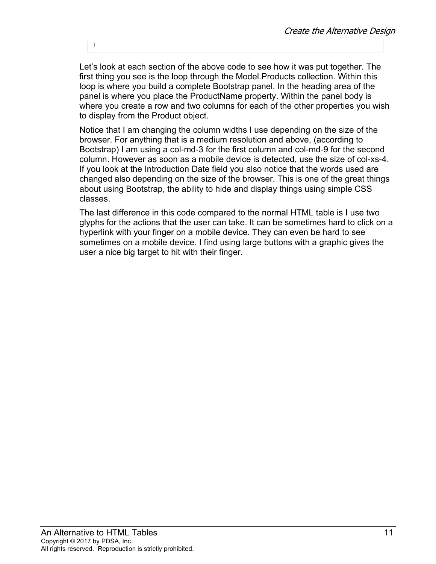}

Let's look at each section of the above code to see how it was put together. The first thing you see is the loop through the Model.Products collection. Within this loop is where you build a complete Bootstrap panel. In the heading area of the panel is where you place the ProductName property. Within the panel body is where you create a row and two columns for each of the other properties you wish to display from the Product object.

Notice that I am changing the column widths I use depending on the size of the browser. For anything that is a medium resolution and above, (according to Bootstrap) I am using a col-md-3 for the first column and col-md-9 for the second column. However as soon as a mobile device is detected, use the size of col-xs-4. If you look at the Introduction Date field you also notice that the words used are changed also depending on the size of the browser. This is one of the great things about using Bootstrap, the ability to hide and display things using simple CSS classes.

The last difference in this code compared to the normal HTML table is I use two glyphs for the actions that the user can take. It can be sometimes hard to click on a hyperlink with your finger on a mobile device. They can even be hard to see sometimes on a mobile device. I find using large buttons with a graphic gives the user a nice big target to hit with their finger.